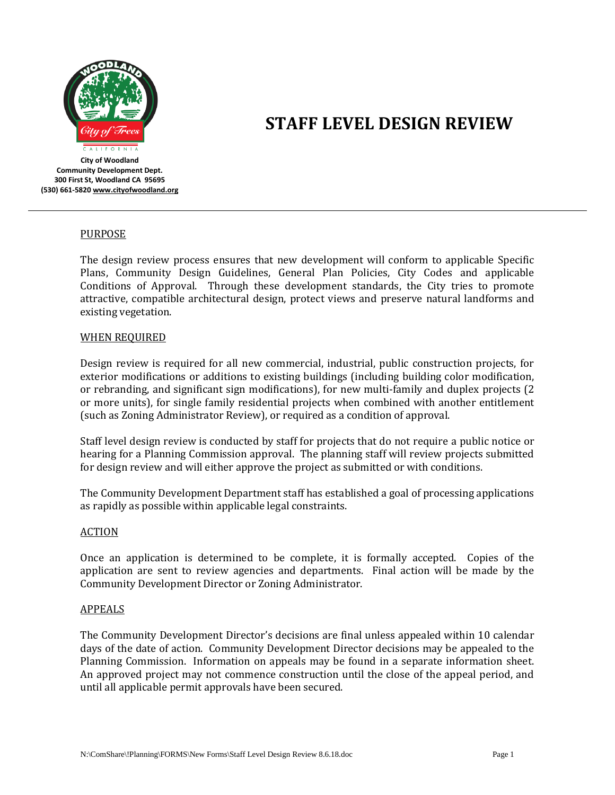

# **STAFF LEVEL DESIGN REVIEW**

**City of Woodland Community Development Dept. 300 First St, Woodland CA 95695 (530) 661-582[0 www.cityofwoodland.org](http://www.cityofwoodland.org/)**

## **PURPOSE**

The design review process ensures that new development will conform to applicable Specific Plans, Community Design Guidelines, General Plan Policies, City Codes and applicable Conditions of Approval. Through these development standards, the City tries to promote attractive, compatible architectural design, protect views and preserve natural landforms and existing vegetation.

## WHEN REQUIRED

Design review is required for all new commercial, industrial, public construction projects, for exterior modifications or additions to existing buildings (including building color modification, or rebranding, and significant sign modifications), for new multi-family and duplex projects (2 or more units), for single family residential projects when combined with another entitlement (such as Zoning Administrator Review), or required as a condition of approval.

Staff level design review is conducted by staff for projects that do not require a public notice or hearing for a Planning Commission approval. The planning staff will review projects submitted for design review and will either approve the project as submitted or with conditions.

The Community Development Department staff has established a goal of processing applications as rapidly as possible within applicable legal constraints.

## ACTION

Once an application is determined to be complete, it is formally accepted. Copies of the application are sent to review agencies and departments. Final action will be made by the Community Development Director or Zoning Administrator.

## APPEALS

The Community Development Director's decisions are final unless appealed within 10 calendar days of the date of action. Community Development Director decisions may be appealed to the Planning Commission. Information on appeals may be found in a separate information sheet. An approved project may not commence construction until the close of the appeal period, and until all applicable permit approvals have been secured.